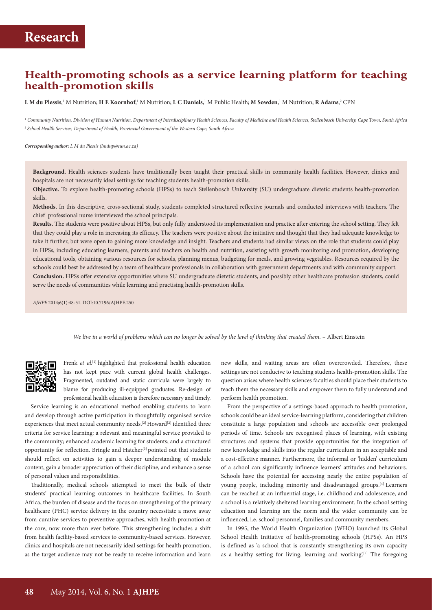### **Health-promoting schools as a service learning platform for teaching health-promotion skills**

 ${\bf L}$  **M du Plessis**,' M Nutrition; **H E Koornhof**,' M Nutrition; **L C Daniels**,' M Public Health; **M Sowden**,' M Nutrition; **R Adams**,<sup>2</sup> CPN

<sup>1</sup>*Community Nutrition, Division of Human Nutrition, Department of Interdisciplinary Health Sciences, Faculty of Medicine and Health Sciences, Stellenbosch University, Cape Town, South Africa* <sup>2</sup> *School Health Services, Department of Health, Provincial Government of the Western Cape, South Africa* 

*Corresponding author: L M du Plessis ([lmdup@sun.ac.za\)](mailto:lmdup@sun.ac.za)*

**Background.** Health sciences students have traditionally been taught their practical skills in community health facilities. However, clinics and hospitals are not necessarily ideal settings for teaching students health-promotion skills.

**Objective.** To explore health-promoting schools (HPSs) to teach Stellenbosch University (SU) undergraduate dietetic students health-promotion skills.

**Methods.** In this descriptive, cross-sectional study, students completed structured reflective journals and conducted interviews with teachers. The chief professional nurse interviewed the school principals.

**Results.** The students were positive about HPSs, but only fully understood its implementation and practice after entering the school setting. They felt that they could play a role in increasing its efficacy. The teachers were positive about the initiative and thought that they had adequate knowledge to take it further, but were open to gaining more knowledge and insight. Teachers and students had similar views on the role that students could play in HPSs, including educating learners, parents and teachers on health and nutrition, assisting with growth monitoring and promotion, developing educational tools, obtaining various resources for schools, planning menus, budgeting for meals, and growing vegetables. Resources required by the schools could best be addressed by a team of healthcare professionals in collaboration with government departments and with community support. **Conclusion.** HPSs offer extensive opportunities where SU undergraduate dietetic students, and possibly other healthcare profession students, could serve the needs of communities while learning and practising health-promotion skills.

*AJHPE* 2014;6(1):48-51. DOI:10.7196/AJHPE.250

We live in a world of problems which can no longer be solved by the level of thinking that created them. - Albert Einstein

Frenk et al.<sup>[1]</sup> highlighted that professional health education has not kept pace with current global health challenges. Fragmented, outdated and static curricula were largely to blame for producing ill-equipped graduates. Re-design of professional health education is therefore necessary and timely.

Service learning is an educational method enabling students to learn and develop through active participation in thoughtfully organised service experiences that meet actual community needs.<sup>[2]</sup> Howard<sup>[2]</sup> identified three criteria for service learning: a relevant and meaningful service provided to the community; enhanced academic learning for students; and a structured opportunity for reflection. Bringle and Hatcher<sup>[3]</sup> pointed out that students should reflect on activities to gain a deeper understanding of module content, gain a broader appreciation of their discipline, and enhance a sense of personal values and responsibilities.

Traditionally, medical schools attempted to meet the bulk of their students' practical learning outcomes in healthcare facilities. In South Africa, the burden of disease and the focus on strengthening of the primary healthcare (PHC) service delivery in the country necessitate a move away from curative services to preventive approaches, with health promotion at the core, now more than ever before. This strengthening includes a shift from health facility-based services to community-based services. However, clinics and hospitals are not necessarily ideal settings for health promotion, as the target audience may not be ready to receive information and learn

new skills, and waiting areas are often overcrowded. Therefore, these settings are not conducive to teaching students health-promotion skills. The question arises where health sciences faculties should place their students to teach them the necessary skills and empower them to fully understand and perform health promotion.

From the perspective of a settings-based approach to health promotion, schools could be an ideal service-learning platform, considering that children constitute a large population and schools are accessible over prolonged periods of time. Schools are recognised places of learning, with existing structures and systems that provide opportunities for the integration of new knowledge and skills into the regular curriculum in an acceptable and a cost-effective manner. Furthermore, the informal or 'hidden' curriculum of a school can significantly influence learners' attitudes and behaviours. Schools have the potential for accessing nearly the entire population of young people, including minority and disadvantaged groups.[4] Learners can be reached at an influential stage, i.e. childhood and adolescence, and a school is a relatively sheltered learning environment. In the school setting education and learning are the norm and the wider community can be influenced, i.e. school personnel, families and community members.

In 1995, the World Health Organization (WHO) launched its Global School Health Initiative of health-promoting schools (HPSs). An HPS is defined as 'a school that is constantly strengthening its own capacity as a healthy setting for living, learning and working'.<sup>[5]</sup> The foregoing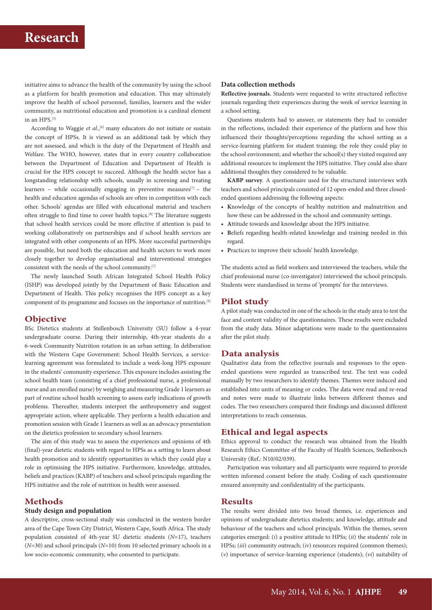# **Research**

initiative aims to advance the health of the community by using the school as a platform for health promotion and education. This may ultimately improve the health of school personnel, families, learners and the wider community, as nutritional education and promotion is a cardinal element in an HPS.<sup>[5]</sup>

According to Waggie et al.,<sup>[6]</sup> many educators do not initiate or sustain the concept of HPSs. It is viewed as an additional task by which they are not assessed, and which is the duty of the Department of Health and Welfare. The WHO, however, states that in every country collaboration between the Department of Education and Department of Health is crucial for the HPS concept to succeed. Although the health sector has a longstanding relationship with schools, usually in screening and treating learners – while occasionally engaging in preventive measures $[7]$  – the health and education agendas of schools are often in competition with each other. Schools' agendas are filled with educational material and teachers often struggle to find time to cover health topics.[8] The literature suggests that school health services could be more effective if attention is paid to working collaboratively on partnerships and if school health services are integrated with other components of an HPS. More successful partnerships are possible, but need both the education and health sectors to work more closely together to develop organisational and interventional strategies consistent with the needs of the school community.[7]

The newly launched South African Integrated School Health Policy (ISHP) was developed jointly by the Department of Basic Education and Department of Health. This policy recognises the HPS concept as a key component of its programme and focuses on the importance of nutrition.[9]

#### **Objective**

BSc Dietetics students at Stellenbosch University (SU) follow a 4-year undergraduate course. During their internship, 4th-year students do a 6-week Community Nutrition rotation in an urban setting. In deliberation with the Western Cape Government: School Health Services, a servicelearning agreement was formulated to include a week-long HPS exposure in the students' community experience. This exposure includes assisting the school health team (consisting of a chief professional nurse, a professional nurse and an enrolled nurse) by weighing and measuring Grade 1 learners as part of routine school health screening to assess early indications of growth problems. Thereafter, students interpret the anthropometry and suggest appropriate action, where applicable. They perform a health education and promotion session with Grade 1 learners as well as an advocacy presentation on the dietetics profession to secondary school learners.

The aim of this study was to assess the experiences and opinions of 4th (final)-year dietetic students with regard to HPSs as a setting to learn about health promotion and to identify opportunities in which they could play a role in optimising the HPS initiative. Furthermore, knowledge, attitudes, beliefs and practices (KABP) of teachers and school principals regarding the HPS initiative and the role of nutrition in health were assessed.

### **Methods**

#### **Study design and population**

A descriptive, cross-sectional study was conducted in the western border area of the Cape Town City District, Western Cape, South Africa. The study population consisted of 4th-year SU dietetic students (*N*=17), teachers (*N*=30) and school principals (*N*=10) from 10 selected primary schools in a low socio-economic community, who consented to participate.

#### **Data collection methods**

**Reflective journals.** Students were requested to write structured reflective journals regarding their experiences during the week of service learning in a school setting.

Questions students had to answer, or statements they had to consider in the reflections, included: their experience of the platform and how this influenced their thoughts/perceptions regarding the school setting as a service-learning platform for student training; the role they could play in the school environment; and whether the school(s) they visited required any additional resources to implement the HPS initiative. They could also share additional thoughts they considered to be valuable.

**KABP survey***.* A questionnaire used for the structured interviews with teachers and school principals consisted of 12 open-ended and three closedended questions addressing the following aspects:

- **• K**nowledge of the concepts of healthy nutrition and malnutrition and how these can be addressed in the school and community settings.
- **• A**ttitude towards and knowledge about the HPS initiative.
- **• B**eliefs regarding health-related knowledge and training needed in this regard.
- **• P**ractices to improve their schools' health knowledge.

The students acted as field workers and interviewed the teachers, while the chief professional nurse (co-investigator) interviewed the school principals. Students were standardised in terms of 'prompts' for the interviews.

#### **Pilot study**

A pilot study was conducted in one of the schools in the study area to test the face and content validity of the questionnaires. These results were excluded from the study data. Minor adaptations were made to the questionnaires after the pilot study.

#### **Data analysis**

Qualitative data from the reflective journals and responses to the openended questions were regarded as transcribed text. The text was coded manually by two researchers to identify themes. Themes were induced and established into units of meaning or codes. The data were read and re-read and notes were made to illustrate links between different themes and codes. The two researchers compared their findings and discussed different interpretations to reach consensus.

### **Ethical and legal aspects**

Ethics approval to conduct the research was obtained from the Health Research Ethics Committee of the Faculty of Health Sciences, Stellenbosch University (Ref.: N10/02/039).

Participation was voluntary and all participants were required to provide written informed consent before the study. Coding of each questionnaire ensured anonymity and confidentiality of the participants.

#### **Results**

The results were divided into two broad themes, i.e. experiences and opinions of undergraduate dietetics students; and knowledge, attitude and behaviour of the teachers and school principals. Within the themes, seven categories emerged: (*i*) a positive attitude to HPSs; (*ii*) the students' role in HPSs; (*iii*) community outreach; (*iv*) resources required (common themes); (*v*) importance of service-learning experience (students); (*vi*) suitability of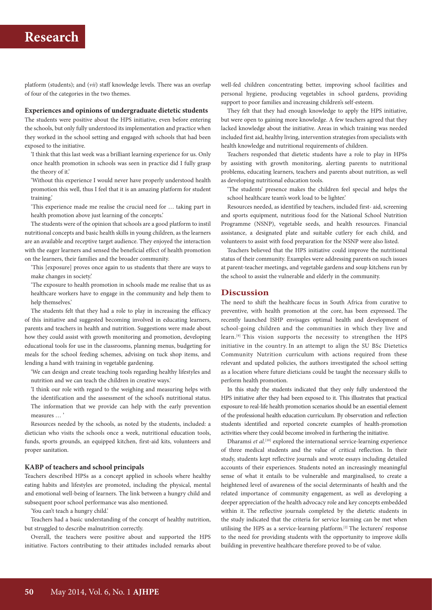## **Research**

platform (students); and (*vii*) staff knowledge levels. There was an overlap of four of the categories in the two themes.

#### **Experiences and opinions of undergraduate dietetic students**

The students were positive about the HPS initiative, even before entering the schools, but only fully understood its implementation and practice when they worked in the school setting and engaged with schools that had been exposed to the initiative.

'I think that this last week was a brilliant learning experience for us. Only once health promotion in schools was seen in practice did I fully grasp the theory of it.'

'Without this experience I would never have properly understood health promotion this well, thus I feel that it is an amazing platform for student training.'

'This experience made me realise the crucial need for … taking part in health promotion above just learning of the concepts.'

The students were of the opinion that schools are a good platform to instil nutritional concepts and basic health skills in young children, as the learners are an available and receptive target audience. They enjoyed the interaction with the eager learners and sensed the beneficial effect of health promotion on the learners, their families and the broader community.

'This [exposure] proves once again to us students that there are ways to make changes in society.'

'The exposure to health promotion in schools made me realise that us as healthcare workers have to engage in the community and help them to help themselves.'

The students felt that they had a role to play in increasing the efficacy of this initiative and suggested becoming involved in educating learners, parents and teachers in health and nutrition. Suggestions were made about how they could assist with growth monitoring and promotion, developing educational tools for use in the classrooms, planning menus, budgeting for meals for the school feeding schemes, advising on tuck shop items, and lending a hand with training in vegetable gardening.

'We can design and create teaching tools regarding healthy lifestyles and nutrition and we can teach the children in creative ways.'

'I think our role with regard to the weighing and measuring helps with the identification and the assessment of the school's nutritional status. The information that we provide can help with the early prevention measures … '

Resources needed by the schools, as noted by the students, included: a dietician who visits the schools once a week, nutritional education tools, funds, sports grounds, an equipped kitchen, first-aid kits, volunteers and proper sanitation.

#### **KABP of teachers and school principals**

Teachers described HPSs as a concept applied in schools where healthy eating habits and lifestyles are promoted, including the physical, mental and emotional well-being of learners. The link between a hungry child and subsequent poor school performance was also mentioned.

'You can't teach a hungry child.'

Teachers had a basic understanding of the concept of healthy nutrition, but struggled to describe malnutrition correctly.

Overall, the teachers were positive about and supported the HPS initiative. Factors contributing to their attitudes included remarks about

well-fed children concentrating better, improving school facilities and personal hygiene, producing vegetables in school gardens, providing support to poor families and increasing children's self-esteem.

They felt that they had enough knowledge to apply the HPS initiative, but were open to gaining more knowledge. A few teachers agreed that they lacked knowledge about the initiative. Areas in which training was needed included first aid, healthy living, intervention strategies from specialists with health knowledge and nutritional requirements of children.

Teachers responded that dietetic students have a role to play in HPSs by assisting with growth monitoring, alerting parents to nutritional problems, educating learners, teachers and parents about nutrition, as well as developing nutritional education tools.

'The students' presence makes the children feel special and helps the school healthcare team's work load to be lighter.'

Resources needed, as identified by teachers, included first- aid, screening and sports equipment, nutritious food for the National School Nutrition Programme (NSNP), vegetable seeds, and health resources. Financial assistance, a designated plate and suitable cutlery for each child, and volunteers to assist with food preparation for the NSNP were also listed.

Teachers believed that the HPS initiative could improve the nutritional status of their community. Examples were addressing parents on such issues at parent-teacher meetings, and vegetable gardens and soup kitchens run by the school to assist the vulnerable and elderly in the community.

#### **Discussion**

The need to shift the healthcare focus in South Africa from curative to preventive, with health promotion at the core, has been expressed. The recently launched ISHP envisages optimal health and development of school-going children and the communities in which they live and learn.[9] This vision supports the necessity to strengthen the HPS initiative in the country. In an attempt to align the SU BSc Dietetics Community Nutrition curriculum with actions required from these relevant and updated policies, the authors investigated the school setting as a location where future dieticians could be taught the necessary skills to perform health promotion.

In this study the students indicated that they only fully understood the HPS initiative after they had been exposed to it. This illustrates that practical exposure to real-life health promotion scenarios should be an essential element of the professional health education curriculum. By observation and reflection students identified and reported concrete examples of health-promotion activities where they could become involved in furthering the initiative.

Dharamsi *et al.*<sup>[10]</sup> explored the international service-learning experience of three medical students and the value of critical reflection. In their study, students kept reflective journals and wrote essays including detailed accounts of their experiences. Students noted an increasingly meaningful sense of what it entails to be vulnerable and marginalised, to create a heightened level of awareness of the social determinants of health and the related importance of community engagement, as well as developing a deeper appreciation of the health advocacy role and key concepts embedded within it. The reflective journals completed by the dietetic students in the study indicated that the criteria for service learning can be met when utilising the HPS as a service-learning platform.[2] The lecturers' response to the need for providing students with the opportunity to improve skills building in preventive healthcare therefore proved to be of value.